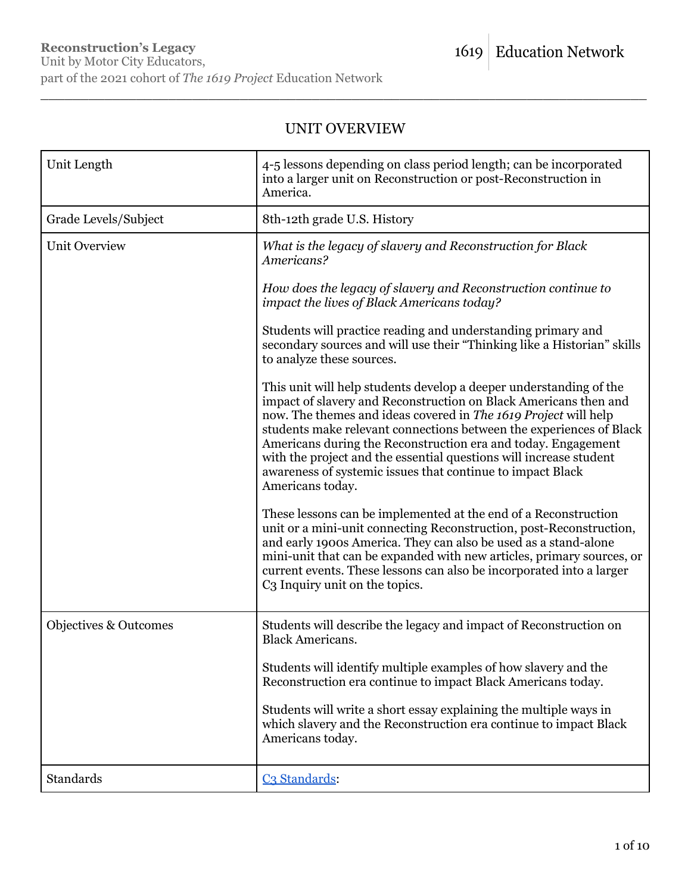# UNIT OVERVIEW

\_\_\_\_\_\_\_\_\_\_\_\_\_\_\_\_\_\_\_\_\_\_\_\_\_\_\_\_\_\_\_\_\_\_\_\_\_\_\_\_\_\_\_\_\_\_\_\_\_\_\_\_\_\_\_\_\_\_\_\_\_\_\_\_\_\_\_\_\_\_\_\_\_\_\_\_

| Unit Length           | 4-5 lessons depending on class period length; can be incorporated<br>into a larger unit on Reconstruction or post-Reconstruction in<br>America.                                                                                                                                                                                                                                                                                                                                                           |
|-----------------------|-----------------------------------------------------------------------------------------------------------------------------------------------------------------------------------------------------------------------------------------------------------------------------------------------------------------------------------------------------------------------------------------------------------------------------------------------------------------------------------------------------------|
| Grade Levels/Subject  | 8th-12th grade U.S. History                                                                                                                                                                                                                                                                                                                                                                                                                                                                               |
| <b>Unit Overview</b>  | What is the legacy of slavery and Reconstruction for Black<br>Americans?                                                                                                                                                                                                                                                                                                                                                                                                                                  |
|                       | How does the legacy of slavery and Reconstruction continue to<br>impact the lives of Black Americans today?                                                                                                                                                                                                                                                                                                                                                                                               |
|                       | Students will practice reading and understanding primary and<br>secondary sources and will use their "Thinking like a Historian" skills<br>to analyze these sources.                                                                                                                                                                                                                                                                                                                                      |
|                       | This unit will help students develop a deeper understanding of the<br>impact of slavery and Reconstruction on Black Americans then and<br>now. The themes and ideas covered in The 1619 Project will help<br>students make relevant connections between the experiences of Black<br>Americans during the Reconstruction era and today. Engagement<br>with the project and the essential questions will increase student<br>awareness of systemic issues that continue to impact Black<br>Americans today. |
|                       | These lessons can be implemented at the end of a Reconstruction<br>unit or a mini-unit connecting Reconstruction, post-Reconstruction,<br>and early 1900s America. They can also be used as a stand-alone<br>mini-unit that can be expanded with new articles, primary sources, or<br>current events. These lessons can also be incorporated into a larger<br>C <sub>3</sub> Inquiry unit on the topics.                                                                                                  |
| Objectives & Outcomes | Students will describe the legacy and impact of Reconstruction on<br><b>Black Americans.</b>                                                                                                                                                                                                                                                                                                                                                                                                              |
|                       | Students will identify multiple examples of how slavery and the<br>Reconstruction era continue to impact Black Americans today.                                                                                                                                                                                                                                                                                                                                                                           |
|                       | Students will write a short essay explaining the multiple ways in<br>which slavery and the Reconstruction era continue to impact Black<br>Americans today.                                                                                                                                                                                                                                                                                                                                                |
| Standards             | C <sub>3</sub> Standards:                                                                                                                                                                                                                                                                                                                                                                                                                                                                                 |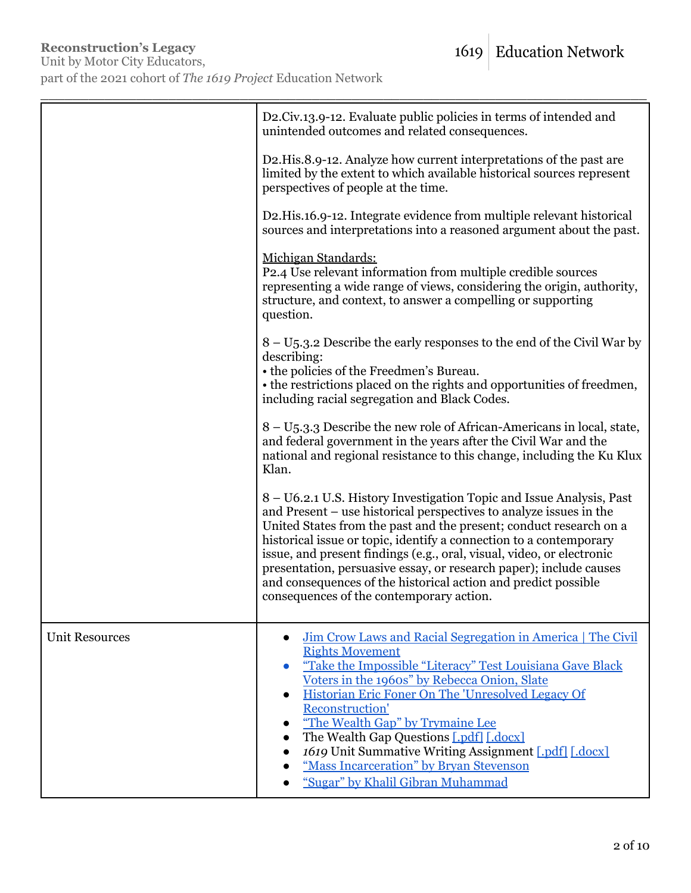|                       | D2.Civ.13.9-12. Evaluate public policies in terms of intended and<br>unintended outcomes and related consequences.                                                                                                                                                                                                                                                                                                                                                                                                                                  |
|-----------------------|-----------------------------------------------------------------------------------------------------------------------------------------------------------------------------------------------------------------------------------------------------------------------------------------------------------------------------------------------------------------------------------------------------------------------------------------------------------------------------------------------------------------------------------------------------|
|                       | D2. His. 8.9-12. Analyze how current interpretations of the past are<br>limited by the extent to which available historical sources represent<br>perspectives of people at the time.                                                                                                                                                                                                                                                                                                                                                                |
|                       | D2.His.16.9-12. Integrate evidence from multiple relevant historical<br>sources and interpretations into a reasoned argument about the past.                                                                                                                                                                                                                                                                                                                                                                                                        |
|                       | Michigan Standards:<br>P2.4 Use relevant information from multiple credible sources<br>representing a wide range of views, considering the origin, authority,<br>structure, and context, to answer a compelling or supporting<br>question.                                                                                                                                                                                                                                                                                                          |
|                       | $8 - U_5$ .3.2 Describe the early responses to the end of the Civil War by<br>describing:<br>• the policies of the Freedmen's Bureau.<br>• the restrictions placed on the rights and opportunities of freedmen,<br>including racial segregation and Black Codes.                                                                                                                                                                                                                                                                                    |
|                       | 8 – U5.3.3 Describe the new role of African-Americans in local, state,<br>and federal government in the years after the Civil War and the<br>national and regional resistance to this change, including the Ku Klux<br>Klan.                                                                                                                                                                                                                                                                                                                        |
|                       | 8 – U6.2.1 U.S. History Investigation Topic and Issue Analysis, Past<br>and Present – use historical perspectives to analyze issues in the<br>United States from the past and the present; conduct research on a<br>historical issue or topic, identify a connection to a contemporary<br>issue, and present findings (e.g., oral, visual, video, or electronic<br>presentation, persuasive essay, or research paper); include causes<br>and consequences of the historical action and predict possible<br>consequences of the contemporary action. |
| <b>Unit Resources</b> | Jim Crow Laws and Racial Segregation in America   The Civil<br><b>Rights Movement</b><br>"Take the Impossible "Literacy" Test Louisiana Gave Black<br>Voters in the 1960s" by Rebecca Onion, Slate<br>Historian Eric Foner On The 'Unresolved Legacy Of<br>$\bullet$<br>Reconstruction'<br>"The Wealth Gap" by Trymaine Lee<br>The Wealth Gap Questions [.pdf] [.docx]<br>1619 Unit Summative Writing Assignment [.pdf] [.docx]<br>"Mass Incarceration" by Bryan Stevenson<br>"Sugar" by Khalil Gibran Muhammad                                     |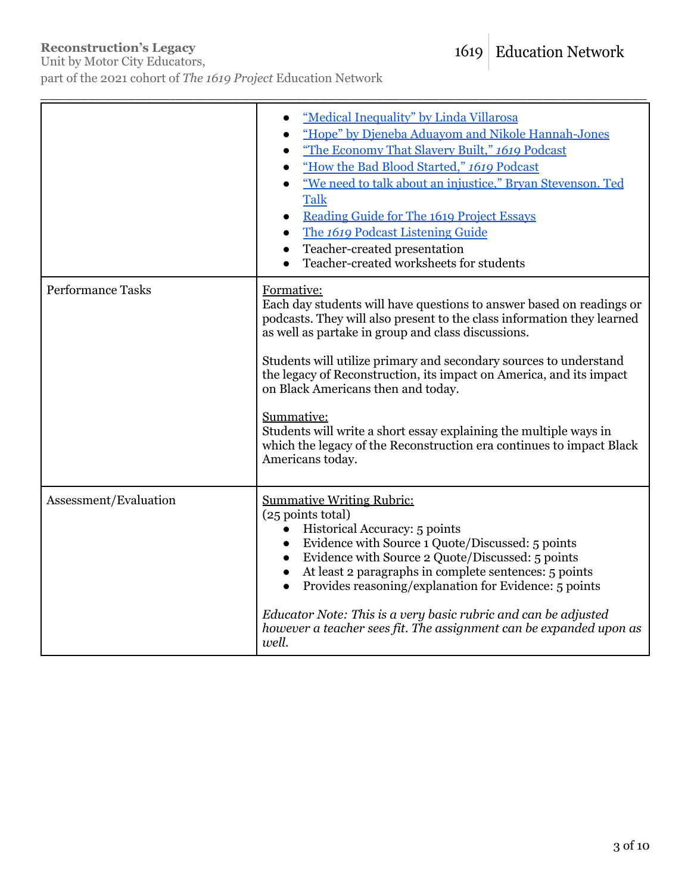# 1619 Education Network

# **Reconstruction's Legacy**

Unit by Motor City Educators, part of the 2021 cohort of *The 1619 Project* Education Network

|                          | "Medical Inequality" by Linda Villarosa<br>"Hope" by Dieneba Aduayom and Nikole Hannah-Jones<br>"The Economy That Slavery Built," 1619 Podcast<br>"How the Bad Blood Started," 1619 Podcast<br>"We need to talk about an injustice," Bryan Stevenson. Ted<br><b>Talk</b><br>Reading Guide for The 1619 Project Essays<br>The 1619 Podcast Listening Guide<br>Teacher-created presentation<br>Teacher-created worksheets for students                                                                                                                                                |
|--------------------------|-------------------------------------------------------------------------------------------------------------------------------------------------------------------------------------------------------------------------------------------------------------------------------------------------------------------------------------------------------------------------------------------------------------------------------------------------------------------------------------------------------------------------------------------------------------------------------------|
| <b>Performance Tasks</b> | Formative:<br>Each day students will have questions to answer based on readings or<br>podcasts. They will also present to the class information they learned<br>as well as partake in group and class discussions.<br>Students will utilize primary and secondary sources to understand<br>the legacy of Reconstruction, its impact on America, and its impact<br>on Black Americans then and today.<br>Summative:<br>Students will write a short essay explaining the multiple ways in<br>which the legacy of the Reconstruction era continues to impact Black<br>Americans today. |
| Assessment/Evaluation    | <b>Summative Writing Rubric:</b><br>(25 points total)<br>Historical Accuracy: 5 points<br>Evidence with Source 1 Quote/Discussed: 5 points<br>Evidence with Source 2 Quote/Discussed: 5 points<br>At least 2 paragraphs in complete sentences: 5 points<br>Provides reasoning/explanation for Evidence: 5 points<br>Educator Note: This is a very basic rubric and can be adjusted<br>however a teacher sees fit. The assignment can be expanded upon as<br>well.                                                                                                                   |

\_\_\_\_\_\_\_\_\_\_\_\_\_\_\_\_\_\_\_\_\_\_\_\_\_\_\_\_\_\_\_\_\_\_\_\_\_\_\_\_\_\_\_\_\_\_\_\_\_\_\_\_\_\_\_\_\_\_\_\_\_\_\_\_\_\_\_\_\_\_\_\_\_\_\_\_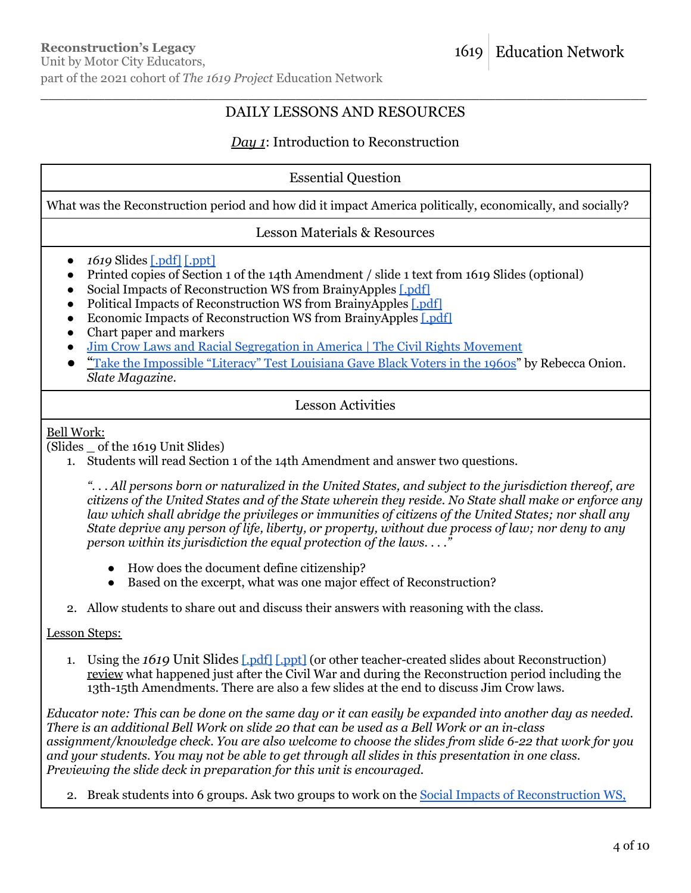# \_\_\_\_\_\_\_\_\_\_\_\_\_\_\_\_\_\_\_\_\_\_\_\_\_\_\_\_\_\_\_\_\_\_\_\_\_\_\_\_\_\_\_\_\_\_\_\_\_\_\_\_\_\_\_\_\_\_\_\_\_\_\_\_\_\_\_\_\_\_\_\_\_\_\_\_ DAILY LESSONS AND RESOURCES

# *Day 1*: Introduction to Reconstruction

#### Essential Question

What was the Reconstruction period and how did it impact America politically, economically, and socially?

#### Lesson Materials & Resources

- *1619* Slides [\[.pdf\]](https://pulitzercenter.org/sites/default/files/inline-images/sa2alsRc9gTn8MUOtBWxKPQiEb5sQFcClJmWhnRvkI7FuuNgoK.pdf) [\[.ppt\]](https://pulitzercenter.org/sites/default/files/inline-images/mGksk7uFRUYUxjShuUFC141kBIYgRJBpvFoAQ34ACe60YgRIug.pptx)
- Printed copies of Section 1 of the 14th Amendment / slide 1 text from 1619 Slides (optional)
- Social Impacts of Reconstruction WS from BrainyApples [\[.pdf\]](https://pulitzercenter.org/sites/default/files/inline-images/sdtaSVHPHAvgKcQ1baQgnMzXoen9Dot0d2Ut4vPn3rjaEY7kyk.pdf)
- Political Impacts of Reconstruction WS from BrainyApples [\[.pdf\]](https://pulitzercenter.org/sites/default/files/inline-images/yBkGclADFL6qaLoFWFpX2TqynPO7PS0Er3WAkclc4ok93ET1Hp.pdf)
- Economic Impacts of Reconstruction WS from BrainyApples [\[.pdf\]](https://pulitzercenter.org/sites/default/files/inline-images/bAhng1NbcVdqvRA3W8N2xILRx9onoin8MY0Ie7Z2RWTfmYtXPO.pdf)
- Chart paper and markers
- Jim Crow Laws and Racial [Segregation](https://www.youtube.com/watch?v=nje1U7jJOHI) in America | The Civil Rights Movement
- "Take the [Impossible](https://slate.com/human-interest/2013/06/voting-rights-and-the-supreme-court-the-impossible-literacy-test-louisiana-used-to-give-black-voters.html) "Literacy" Test Louisiana Gave Black Voters in the 1960s" by Rebecca Onion. *Slate Magazine.*

#### Lesson Activities

#### Bell Work:

(Slides \_ of the 1619 Unit Slides)

1. Students will read Section 1 of the 14th Amendment and answer two questions.

"...All persons born or naturalized in the United States, and subject to the jurisdiction thereof, are citizens of the United States and of the State wherein they reside. No State shall make or enforce any *law which shall abridge the privileges or immunities of citizens of the United States; nor shall any* State deprive any person of life, liberty, or property, without due process of law; nor deny to any *person within its jurisdiction the equal protection of the laws. . . ."*

- How does the document define citizenship?
- Based on the excerpt, what was one major effect of Reconstruction?
- 2. Allow students to share out and discuss their answers with reasoning with the class.

#### Lesson Steps:

1. Using the *1619* Unit Slides [\[.pdf\]](https://pulitzercenter.org/sites/default/files/inline-images/sa2alsRc9gTn8MUOtBWxKPQiEb5sQFcClJmWhnRvkI7FuuNgoK.pdf) [\[.ppt\]](https://pulitzercenter.org/sites/default/files/inline-images/mGksk7uFRUYUxjShuUFC141kBIYgRJBpvFoAQ34ACe60YgRIug.pptx) (or other teacher-created slides about Reconstruction) review what happened just after the Civil War and during the Reconstruction period including the 13th-15th Amendments. There are also a few slides at the end to discuss Jim Crow laws.

Educator note: This can be done on the same day or it can easily be expanded into another day as needed. There is an additional Bell Work on slide 20 that can be used as a Bell Work or an in-class *assignment/knowledge check. You are also welcome to choose the slides from slide 6-22 that work for you* and your students. You may not be able to get through all slides in this presentation in one class. *Previewing the slide deck in preparation for this unit is encouraged.*

2. Break students into 6 groups. Ask two groups to work on the Social Impacts of [Reconstruction](https://pulitzercenter.org/sites/default/files/inline-images/sdtaSVHPHAvgKcQ1baQgnMzXoen9Dot0d2Ut4vPn3rjaEY7kyk.pdf) WS,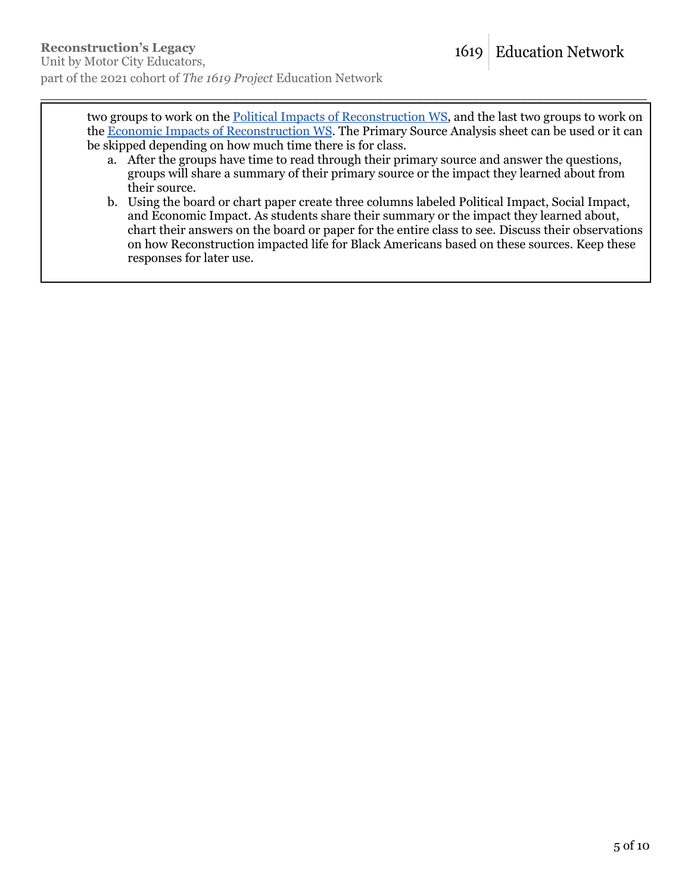two groups to work on the **Political Impacts of [Reconstruction](https://pulitzercenter.org/sites/default/files/inline-images/yBkGclADFL6qaLoFWFpX2TqynPO7PS0Er3WAkclc4ok93ET1Hp.pdf) WS**, and the last two groups to work on the Economic Impacts of [Reconstruction](https://pulitzercenter.org/sites/default/files/inline-images/bAhng1NbcVdqvRA3W8N2xILRx9onoin8MY0Ie7Z2RWTfmYtXPO.pdf) WS. The Primary Source Analysis sheet can be used or it can be skipped depending on how much time there is for class.

\_\_\_\_\_\_\_\_\_\_\_\_\_\_\_\_\_\_\_\_\_\_\_\_\_\_\_\_\_\_\_\_\_\_\_\_\_\_\_\_\_\_\_\_\_\_\_\_\_\_\_\_\_\_\_\_\_\_\_\_\_\_\_\_\_\_\_\_\_\_\_\_\_\_\_\_

- a. After the groups have time to read through their primary source and answer the questions, groups will share a summary of their primary source or the impact they learned about from their source.
- b. Using the board or chart paper create three columns labeled Political Impact, Social Impact, and Economic Impact. As students share their summary or the impact they learned about, chart their answers on the board or paper for the entire class to see. Discuss their observations on how Reconstruction impacted life for Black Americans based on these sources. Keep these responses for later use.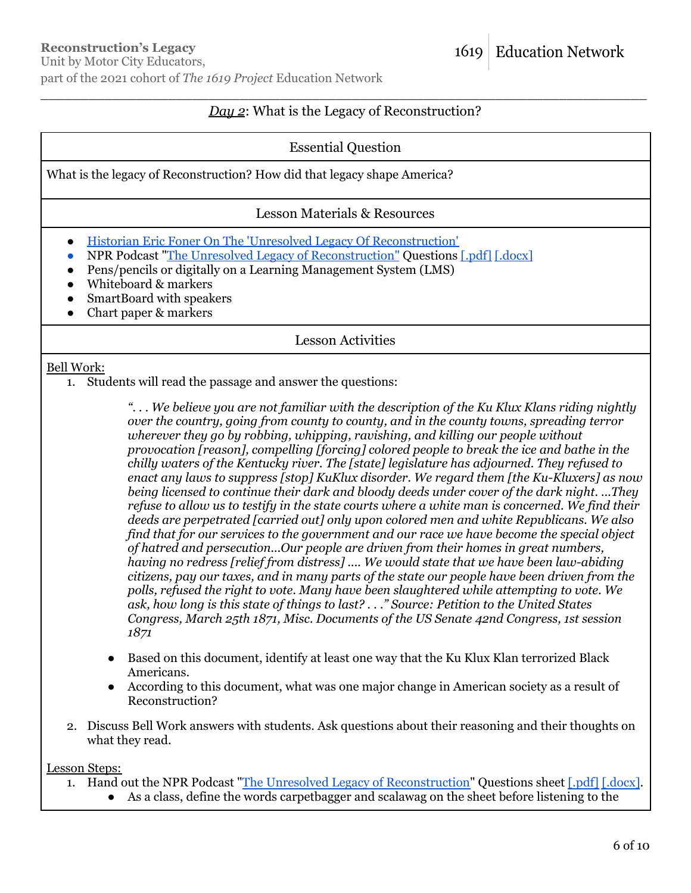#### \_\_\_\_\_\_\_\_\_\_\_\_\_\_\_\_\_\_\_\_\_\_\_\_\_\_\_\_\_\_\_\_\_\_\_\_\_\_\_\_\_\_\_\_\_\_\_\_\_\_\_\_\_\_\_\_\_\_\_\_\_\_\_\_\_\_\_\_\_\_\_\_\_\_\_\_ *Day 2*: What is the Legacy of Reconstruction?

# Essential Question

What is the legacy of Reconstruction? How did that legacy shape America?

# Lesson Materials & Resources

- Historian Eric Foner On The 'Unresolved Legacy Of [Reconstruction'](https://www.npr.org/2020/06/05/870459750/historian-eric-foner-on-the-unresolved-legacy-of-reconstruction)
- NPR Podcast "The Unresolved Legacy of [Reconstruction"](https://www.npr.org/2020/06/05/870459750/historian-eric-foner-on-the-unresolved-legacy-of-reconstruction) Questions [\[.pdf\]](https://pulitzercenter.org/sites/default/files/inline-images/qvvbHcg23ETBbv4sQfrNKkt2iqpHspXfNZ9Zsgkh0AVTP519vb.pdf) [\[.docx\]](https://pulitzercenter.org/sites/default/files/inline-images/bOdUpeOJ8Lel1wgVI0Rp4hEfZQzdVW0WkFEVrLGVeia0d8e2G7.docx)
- Pens/pencils or digitally on a Learning Management System (LMS)
- Whiteboard & markers
- SmartBoard with speakers
- Chart paper & markers

Lesson Activities

#### Bell Work:

1. Students will read the passage and answer the questions:

"... We believe you are not familiar with the description of the Ku Klux Klans riding nightly *over the country, going from county to county, and in the county towns, spreading terror wherever they go by robbing, whipping, ravishing, and killing our people without provocation [reason], compelling [forcing] colored people to break the ice and bathe in the chilly waters of the Kentucky river. The [state] legislature has adjourned. They refused to enact any laws to suppress [stop] KuKlux disorder. We regard them [the Ku-Kluxers] as now being licensed to continue their dark and bloody deeds under cover of the dark night. ...They* refuse to allow us to testify in the state courts where a white man is concerned. We find their *deeds are perpetrated [carried out] only upon colored men and white Republicans. We also find that for our services to the government and our race we have become the special object of hatred and persecution...Our people are driven from their homes in great numbers, having no redress [relief from distress] .... We would state that we have been law-abiding citizens, pay our taxes, and in many parts of the state our people have been driven from the polls, refused the right to vote. Many have been slaughtered while attempting to vote. We ask, how long is this state of things to last? . . ." Source: Petition to the United States Congress, March 25th 1871, Misc. Documents of the US Senate 42nd Congress, 1st session 1871*

- Based on this document, identify at least one way that the Ku Klux Klan terrorized Black Americans.
- According to this document, what was one major change in American society as a result of Reconstruction?
- 2. Discuss Bell Work answers with students. Ask questions about their reasoning and their thoughts on what they read.

Lesson Steps:

- 1. Hand out the NPR Podcast "The Unresolved Legacy of [Reconstruction"](https://www.npr.org/2020/06/05/870459750/historian-eric-foner-on-the-unresolved-legacy-of-reconstruction) Questions sheet [\[.pdf\]](https://pulitzercenter.org/sites/default/files/inline-images/qvvbHcg23ETBbv4sQfrNKkt2iqpHspXfNZ9Zsgkh0AVTP519vb.pdf) [\[.docx\]](https://pulitzercenter.org/sites/default/files/inline-images/bOdUpeOJ8Lel1wgVI0Rp4hEfZQzdVW0WkFEVrLGVeia0d8e2G7.docx).
	- As a class, define the words carpetbagger and scalawag on the sheet before listening to the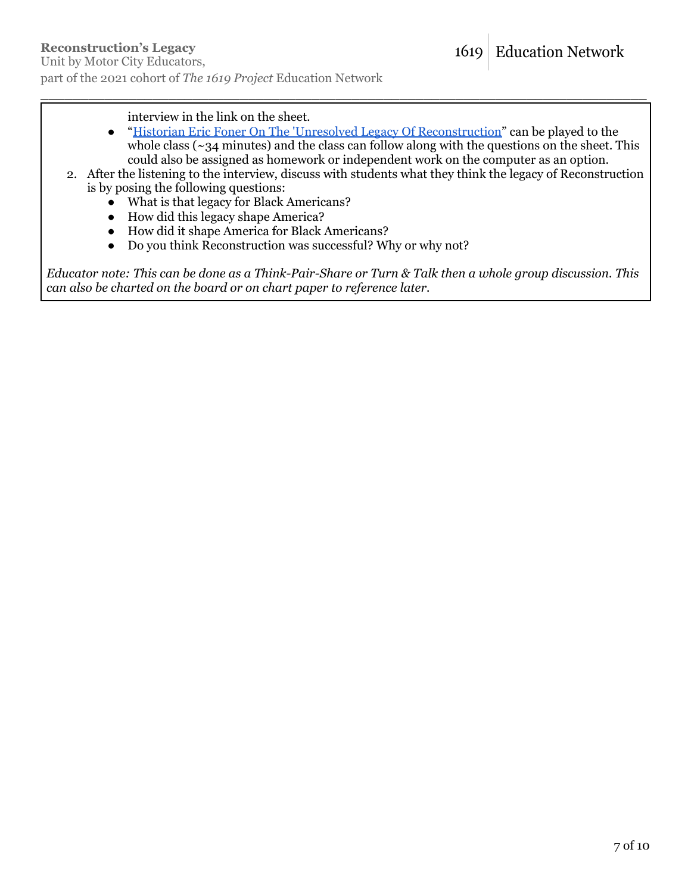interview in the link on the sheet.

- "Historian Eric Foner On The 'Unresolved Legacy Of [Reconstruction"](https://www.npr.org/2020/06/05/870459750/historian-eric-foner-on-the-unresolved-legacy-of-reconstruction) can be played to the whole class ( $\sim$ 34 minutes) and the class can follow along with the questions on the sheet. This could also be assigned as homework or independent work on the computer as an option.
- 2. After the listening to the interview, discuss with students what they think the legacy of Reconstruction is by posing the following questions:

\_\_\_\_\_\_\_\_\_\_\_\_\_\_\_\_\_\_\_\_\_\_\_\_\_\_\_\_\_\_\_\_\_\_\_\_\_\_\_\_\_\_\_\_\_\_\_\_\_\_\_\_\_\_\_\_\_\_\_\_\_\_\_\_\_\_\_\_\_\_\_\_\_\_\_\_

- What is that legacy for Black Americans?
- How did this legacy shape America?
- How did it shape America for Black Americans?
- Do you think Reconstruction was successful? Why or why not?

Educator note: This can be done as a Think-Pair-Share or Turn & Talk then a whole group discussion. This *can also be charted on the board or on chart paper to reference later.*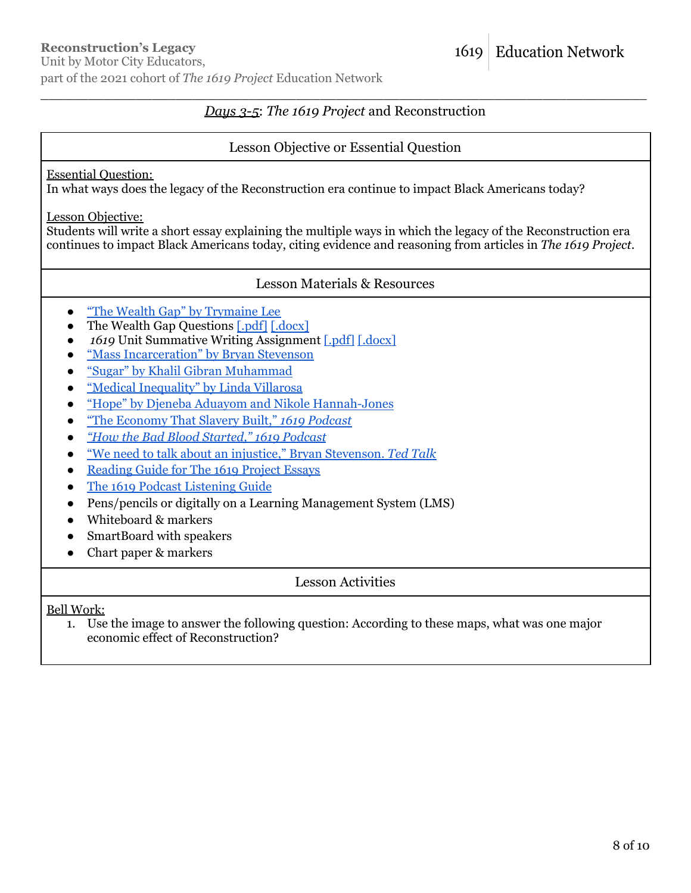# **Reconstruction's Legacy**

Unit by Motor City Educators, part of the 2021 cohort of *The 1619 Project* Education Network

# \_\_\_\_\_\_\_\_\_\_\_\_\_\_\_\_\_\_\_\_\_\_\_\_\_\_\_\_\_\_\_\_\_\_\_\_\_\_\_\_\_\_\_\_\_\_\_\_\_\_\_\_\_\_\_\_\_\_\_\_\_\_\_\_\_\_\_\_\_\_\_\_\_\_\_\_ *Days 3-5*: *The 1619 Project* and Reconstruction

# Lesson Objective or Essential Question

#### Essential Question:

In what ways does the legacy of the Reconstruction era continue to impact Black Americans today?

#### Lesson Objective:

Students will write a short essay explaining the multiple ways in which the legacy of the Reconstruction era continues to impact Black Americans today, citing evidence and reasoning from articles in *The 1619 Project*.

#### Lesson Materials & Resources

- "The Wealth Gap" by [Trymaine](https://pulitzercenter.org/sites/default/files/inline-images/tOJqxJcH01uQisBbPdVFIH4SNopreEKoVbanwgOn5Y2dfneSwF.pdf) Lee
- The Wealth Gap Questions  $\lceil . \text{pdf} \rceil \cdot \text{docx} \rceil$
- *1619* Unit Summative Writing Assignment [\[.pdf\]](https://pulitzercenter.org/sites/default/files/inline-images/pAsCcTK14Yk7YSrCBLClYfWkI3uWzRYoqQY0CcuIvNdfDjLTPL.pdf) [\[.docx\]](https://pulitzercenter.org/sites/default/files/inline-images/jHY8vuELVxJinC9xGeM1Y9iRfbZ5h1eX5sY0GTk9AGXpQMmtx5.docx)
- "Mass [Incarceration"](https://pulitzercenter.org/sites/default/files/mass_incarceration_by_bryan_stevenson.pdf) by Bryan Stevenson
- "Sugar" by Khalil Gibran [Muhammad](https://pulitzercenter.org/sites/default/files/inline-images/xPOGqBS2Bdl7qfEkRtQiCxIWdh5ytXdvjEJMdBoANcGY3JPb4N.pdf)
- "Medical [Inequality"](https://pulitzercenter.org/sites/default/files/inline-images/cQvWHUIWqDDzO4F8AvK8H76SnK3JyCfyLY0tBasFpQUUse4Ffn.pdf) by Linda Villarosa
- "Hope" by Djeneba Aduayom and Nikole [Hannah-Jones](https://pulitzercenter.org/sites/default/files/2021-10/Hope.pdf)
- "The [Economy](https://www.nytimes.com/2019/08/30/podcasts/1619-slavery-cotton-capitalism.html?action=click&module=audio-series-bar®ion=header&pgtype=Article) That Slavery Built," *1619 Podcast*
- *● "How the Bad Blood [Started,"](https://www.nytimes.com/2019/09/13/podcasts/1619-slavery-healthcare.html) 1619 Podcast*
- *●* "We need to talk about an injustice," Bryan [Stevenson.](https://www.ted.com/talks/bryan_stevenson_we_need_to_talk_about_an_injustice) *Ted Talk*
- [Reading](https://pulitzercenter.org/sites/default/files/reading_guide_for_the_1619_project_essays_0.pdf) Guide for The 1619 Project Essays
- The 1619 Podcast [Listening](https://pulitzercenter.org/builder/lesson/1619-podcast-listening-guide) Guide
- Pens/pencils or digitally on a Learning Management System (LMS)
- Whiteboard & markers
- SmartBoard with speakers
- Chart paper & markers

# Lesson Activities

Bell Work:

1. Use the image to answer the following question: According to these maps, what was one major economic effect of Reconstruction?

**Education Network** 

1619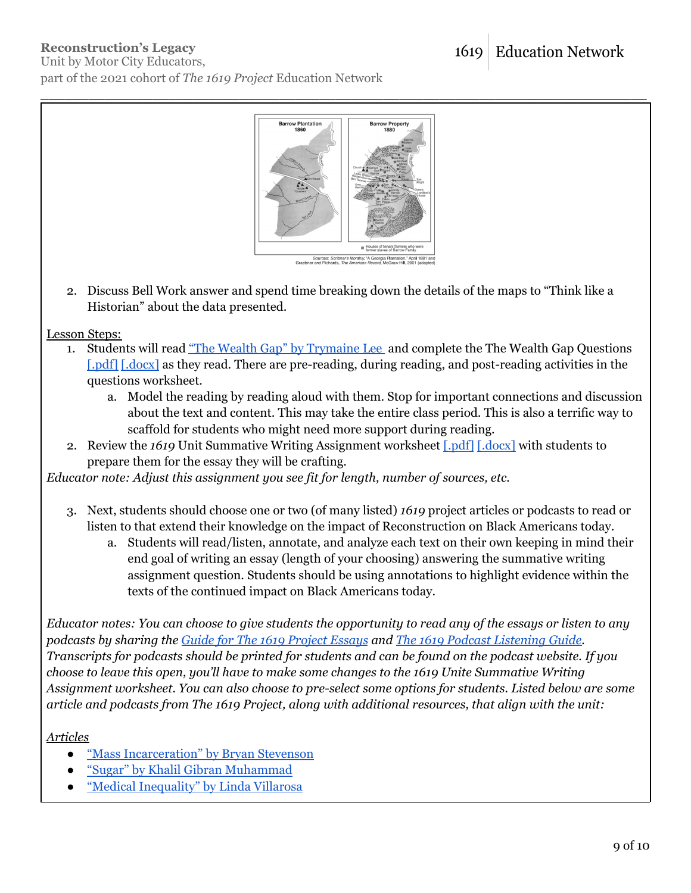# **Reconstruction's Legacy**

Unit by Motor City Educators, part of the 2021 cohort of *The 1619 Project* Education Network



\_\_\_\_\_\_\_\_\_\_\_\_\_\_\_\_\_\_\_\_\_\_\_\_\_\_\_\_\_\_\_\_\_\_\_\_\_\_\_\_\_\_\_\_\_\_\_\_\_\_\_\_\_\_\_\_\_\_\_\_\_\_\_\_\_\_\_\_\_\_\_\_\_\_\_\_

.<br>Iources: *Scribner's Monthly*, "A Georgia Plantat<br>and Richards, *The American Record*, McGraw

2. Discuss Bell Work answer and spend time breaking down the details of the maps to "Think like a Historian" about the data presented.

Lesson Steps:

- 1. Students will read "The Wealth Gap" by [Trymaine](https://pulitzercenter.org/sites/default/files/inline-images/tOJqxJcH01uQisBbPdVFIH4SNopreEKoVbanwgOn5Y2dfneSwF.pdf) Lee and complete the The Wealth Gap Questions [\[.pdf\]](https://pulitzercenter.org/sites/default/files/inline-images/paDEeHHMk5PzdfsclMwl4RXgILcrvaiqP8A0fnVgzZmmPz3PTq.pdf) [\[.docx\]](https://pulitzercenter.org/sites/default/files/inline-images/yWKqMHFz30Sdfzf6fRwNu0hyn1DW6rocU0o4kXJRJb5GhNyXln.docx) as they read. There are pre-reading, during reading, and post-reading activities in the questions worksheet.
	- a. Model the reading by reading aloud with them. Stop for important connections and discussion about the text and content. This may take the entire class period. This is also a terrific way to scaffold for students who might need more support during reading.
- 2. Review the 1619 Unit Summative Writing Assignment worksheet [\[.pdf\]](https://pulitzercenter.org/sites/default/files/inline-images/pAsCcTK14Yk7YSrCBLClYfWkI3uWzRYoqQY0CcuIvNdfDjLTPL.pdf) [\[.docx\]](https://pulitzercenter.org/sites/default/files/inline-images/jHY8vuELVxJinC9xGeM1Y9iRfbZ5h1eX5sY0GTk9AGXpQMmtx5.docx) with students to prepare them for the essay they will be crafting.

*Educator note: Adjust this assignment you see fit for length, number of sources, etc.*

- 3. Next, students should choose one or two (of many listed) *1619* project articles or podcasts to read or listen to that extend their knowledge on the impact of Reconstruction on Black Americans today.
	- a. Students will read/listen, annotate, and analyze each text on their own keeping in mind their end goal of writing an essay (length of your choosing) answering the summative writing assignment question. Students should be using annotations to highlight evidence within the texts of the continued impact on Black Americans today.

Educator notes: You can choose to give students the opportunity to read any of the essays or listen to any *podcasts by sharing the Guide for The 1619 [Project](https://pulitzercenter.org/sites/default/files/reading_guide_for_the_1619_project_essays_0.pdf) Essays and The 1619 Podcast [Listening](https://pulitzercenter.org/builder/lesson/1619-podcast-listening-guide) Guide.* Transcripts for podcasts should be printed for students and can be found on the podcast website. If you *choose to leave this open, you'll have to make some changes to the 1619 Unite Summative Writing Assignment worksheet. You can also choose to pre-select some options for students. Listed below are some article and podcasts from The 1619 Project, along with additional resources, that align with the unit:*

*Articles*

- "Mass [Incarceration"](https://pulitzercenter.org/sites/default/files/mass_incarceration_by_bryan_stevenson.pdf) by Bryan Stevenson
- "Sugar" by Khalil Gibran [Muhammad](https://pulitzercenter.org/sites/default/files/inline-images/xPOGqBS2Bdl7qfEkRtQiCxIWdh5ytXdvjEJMdBoANcGY3JPb4N.pdf)
- "Medical [Inequality"](https://pulitzercenter.org/sites/default/files/inline-images/cQvWHUIWqDDzO4F8AvK8H76SnK3JyCfyLY0tBasFpQUUse4Ffn.pdf) by Linda Villarosa